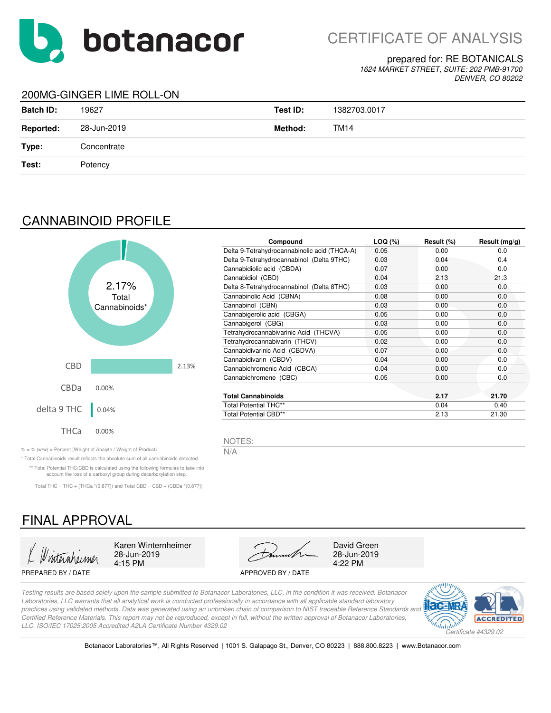

#### prepared for: RE BOTANICALS

*1624 MARKET STREET, SUITE: 202 PMB-91700 DENVER, CO 80202*

### 200MG-GINGER LIME ROLL-ON

| <b>Batch ID:</b> | 19627       | Test ID: | 1382703.0017 |
|------------------|-------------|----------|--------------|
| <b>Reported:</b> | 28-Jun-2019 | Method:  | TM14         |
| Type:            | Concentrate |          |              |
| Test:            | Potency     |          |              |
|                  |             |          |              |

## CANNABINOID PROFILE



| Compound                                     | $LOQ (\%)$ | Result (%) | Result $(mg/g)$ |
|----------------------------------------------|------------|------------|-----------------|
| Delta 9-Tetrahydrocannabinolic acid (THCA-A) | 0.05       | 0.00       | 0.0             |
| Delta 9-Tetrahydrocannabinol (Delta 9THC)    | 0.03       | 0.04       | 0.4             |
| Cannabidiolic acid (CBDA)                    | 0.07       | 0.00       | 0.0             |
| Cannabidiol (CBD)                            | 0.04       | 2.13       | 21.3            |
| Delta 8-Tetrahydrocannabinol (Delta 8THC)    | 0.03       | 0.00       | 0.0             |
| Cannabinolic Acid (CBNA)                     | 0.08       | 0.00       | 0.0             |
| Cannabinol (CBN)                             | 0.03       | 0.00       | 0.0             |
| Cannabigerolic acid (CBGA)                   | 0.05       | 0.00       | 0.0             |
| Cannabigerol (CBG)                           | 0.03       | 0.00       | 0.0             |
| Tetrahydrocannabivarinic Acid (THCVA)        | 0.05       | 0.00       | 0.0             |
| Tetrahydrocannabivarin (THCV)                | 0.02       | 0.00       | 0.0             |
| Cannabidivarinic Acid (CBDVA)                | 0.07       | 0.00       | 0.0             |
| Cannabidivarin (CBDV)                        | 0.04       | 0.00       | 0.0             |
| Cannabichromenic Acid (CBCA)                 | 0.04       | 0.00       | 0.0             |
| Cannabichromene (CBC)                        | 0.05       | 0.00       | 0.0             |
| <b>Total Cannabinoids</b>                    |            | 2.17       | 21.70           |
| <b>Total Potential THC**</b>                 |            | 0.04       | 0.40            |
| <b>Total Potential CBD**</b>                 |            | 2.13       | 21.30           |

NOTES:

% = % (w/w) = Percent (Weight of Analyte / Weight of Product)  $N/A$ 

\* Total Cannabinoids result reflects the absolute sum of all cannabinoids detected. \*\* Total Potential THC/CBD is calculated using the following formulas to take into account the loss of a carboxyl group during decarboxylation step.

Total THC = THC + (THCa  $*(0.877)$ ) and Total CBD = CBD + (CBDa  $*(0.877)$ )

# FINAL APPROVAL

4:15 PM

PREPARED BY / DATE APPROVED BY / DATE



28-Jun-2019<br>4:22 PM

*Testing results are based solely upon the sample submitted to Botanacor Laboratories, LLC, in the condition it was received. Botanacor Laboratories, LLC warrants that all analytical work is conducted professionally in accordance with all applicable standard laboratory practices using validated methods. Data was generated using an unbroken chain of comparison to NIST traceable Reference Standards and Certified Reference Materials. This report may not be reproduced, except in full, without the written approval of Botanacor Laboratories, LLC. ISO/IEC 17025:2005 Accredited A2LA Certificate Number 4329.02*



Botanacor Laboratories™, All Rights Reserved | 1001 S. Galapago St., Denver, CO 80223 | 888.800.8223 | www.Botanacor.com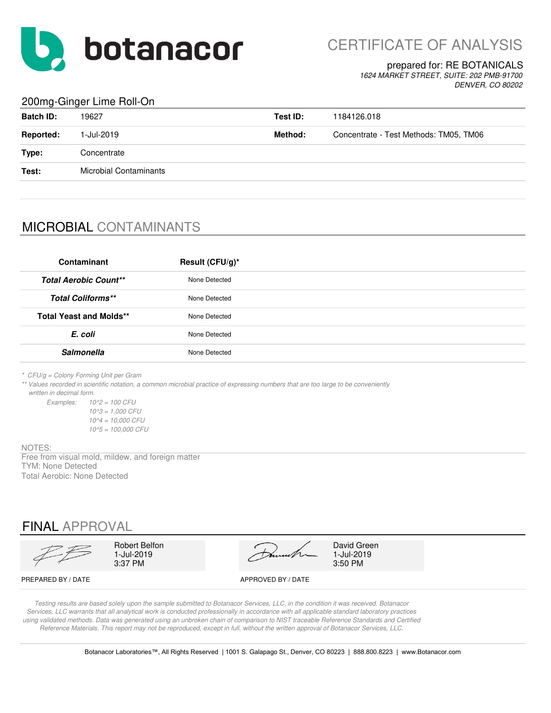

CERTIFICATE OF ANALYSIS

#### prepared for: RE BOTANICALS

*1624 MARKET STREET, SUITE: 202 PMB-91700 DENVER, CO 80202*

### 200mg-Ginger Lime Roll-On

| <b>Batch ID:</b> | 19627                         | Test ID: | 1184126.018                            |
|------------------|-------------------------------|----------|----------------------------------------|
| <b>Reported:</b> | 1-Jul-2019                    | Method:  | Concentrate - Test Methods: TM05, TM06 |
| Type:            | Concentrate                   |          |                                        |
| Test:            | <b>Microbial Contaminants</b> |          |                                        |
|                  |                               |          |                                        |

## MICROBIAL CONTAMINANTS

| Contaminant                    | Result (CFU/g)* |
|--------------------------------|-----------------|
| <b>Total Aerobic Count**</b>   | None Detected   |
| <b>Total Coliforms**</b>       | None Detected   |
| <b>Total Yeast and Molds**</b> | None Detected   |
| E. coli                        | None Detected   |
| <b>Salmonella</b>              | None Detected   |

*\* CFU/g = Colony Forming Unit per Gram*

*\*\* Values recorded in scientific notation, a common microbial practice of expressing numbers that are too large to be conveniently written in decimal form.*

*Examples: 10^2 = 100 CFU 10^3 = 1,000 CFU 10^4 = 10,000 CFU 10^5 = 100,000 CFU*

NOTES:

Free from visual mold, mildew, and foreign matter TYM: None Detected Total Aerobic: None Detected

# FINAL APPROVAL

|                    | Robert Belfon<br>l-Jul-2019<br>3:37 PM | much               | David Green<br>1-Jul-2019<br>3:50 PM |
|--------------------|----------------------------------------|--------------------|--------------------------------------|
| PREPARED BY / DATE |                                        | APPROVED BY / DATE |                                      |

*Testing results are based solely upon the sample submitted to Botanacor Services, LLC, in the condition it was received. Botanacor Services, LLC warrants that all analytical work is conducted professionally in accordance with all applicable standard laboratory practices using validated methods. Data was generated using an unbroken chain of comparison to NIST traceable Reference Standards and Certified Reference Materials. This report may not be reproduced, except in full, without the written approval of Botanacor Services, LLC.*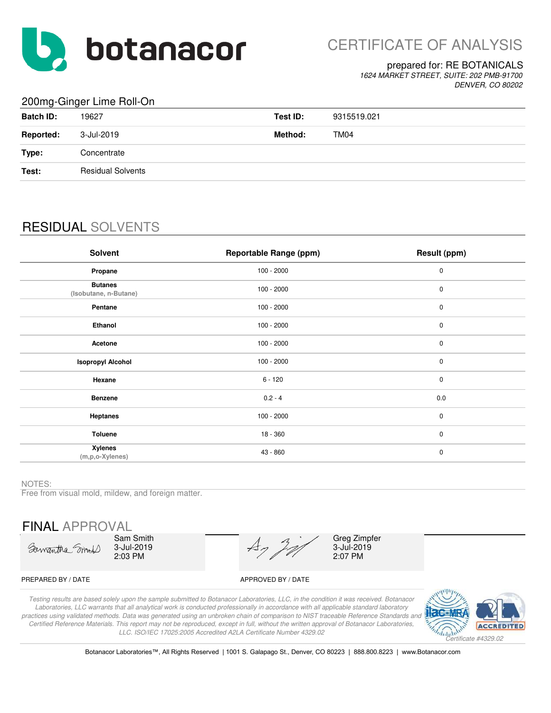

CERTIFICATE OF ANALYSIS

#### prepared for: RE BOTANICALS

*1624 MARKET STREET, SUITE: 202 PMB-91700 DENVER, CO 80202*

### 200mg-Ginger Lime Roll-On

| $\sim$ $\sim$ $\sim$ $\sim$ |                          |          |                  |
|-----------------------------|--------------------------|----------|------------------|
| <b>Batch ID:</b>            | 19627                    | Test ID: | 9315519.021      |
| <b>Reported:</b>            | 3-Jul-2019               | Method:  | TM <sub>04</sub> |
| Type:                       | Concentrate              |          |                  |
| Test:                       | <b>Residual Solvents</b> |          |                  |
|                             |                          |          |                  |

# RESIDUAL SOLVENTS

| Solvent                                 | <b>Reportable Range (ppm)</b> | Result (ppm) |
|-----------------------------------------|-------------------------------|--------------|
| Propane                                 | $100 - 2000$                  | $\pmb{0}$    |
| <b>Butanes</b><br>(Isobutane, n-Butane) | $100 - 2000$                  | $\pmb{0}$    |
| Pentane                                 | $100 - 2000$                  | $\pmb{0}$    |
| Ethanol                                 | $100 - 2000$                  | $\pmb{0}$    |
| Acetone                                 | $100 - 2000$                  | $\pmb{0}$    |
| <b>Isopropyl Alcohol</b>                | $100 - 2000$                  | $\pmb{0}$    |
| Hexane                                  | $6 - 120$                     | $\mathbf 0$  |
| <b>Benzene</b>                          | $0.2 - 4$                     | 0.0          |
| <b>Heptanes</b>                         | $100 - 2000$                  | $\mathbf 0$  |
| <b>Toluene</b>                          | 18 - 360                      | $\mathbf 0$  |
| <b>Xylenes</b><br>(m,p,o-Xylenes)       | 43 - 860                      | $\pmb{0}$    |

#### NOTES:

Free from visual mold, mildew, and foreign matter.

FINAL APPROVAL

Samantha Smoot

Sam Smith 3-Jul-2019 2:03 PM

 $A_7$ 

3-Jul-2019 2:07 PM Greg Zimpfer

#### PREPARED BY / DATE APPROVED BY / DATE

*Testing results are based solely upon the sample submitted to Botanacor Laboratories, LLC, in the condition it was received. Botanacor Laboratories, LLC warrants that all analytical work is conducted professionally in accordance with all applicable standard laboratory practices using validated methods. Data was generated using an unbroken chain of comparison to NIST traceable Reference Standards and Certified Reference Materials. This report may not be reproduced, except in full, without the written approval of Botanacor Laboratories, LLC. ISO/IEC 17025:2005 Accredited A2LA Certificate Number 4329.02*



Botanacor Laboratories™, All Rights Reserved | 1001 S. Galapago St., Denver, CO 80223 | 888.800.8223 | www.Botanacor.com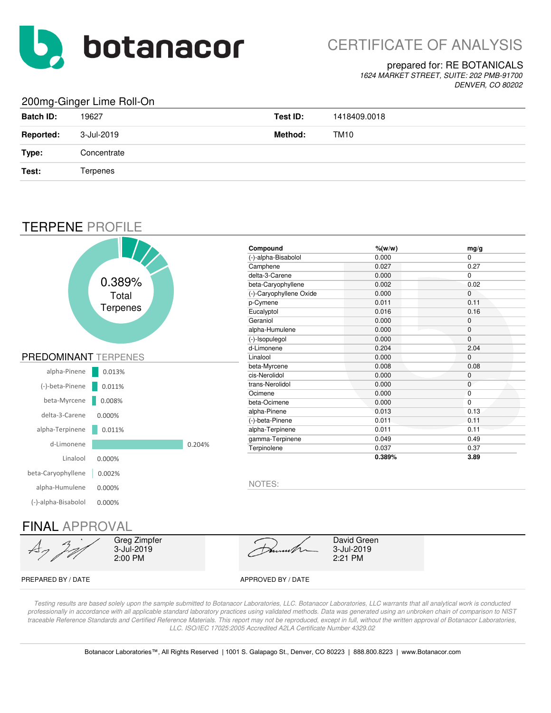

# CERTIFICATE OF ANALYSIS

#### prepared for: RE BOTANICALS

*1624 MARKET STREET, SUITE: 202 PMB-91700 DENVER, CO 80202*

### 200mg-Ginger Lime Roll-On

| <b>Batch ID:</b> | 19627       | Test ID: | 1418409.0018 |
|------------------|-------------|----------|--------------|
| <b>Reported:</b> | 3-Jul-2019  | Method:  | TM10         |
| Type:            | Concentrate |          |              |
| Test:            | Terpenes    |          |              |
|                  |             |          |              |

## TERPENE PROFILE



PREPARED BY / DATE APPROVED BY / DATE

*Testing results are based solely upon the sample submitted to Botanacor Laboratories, LLC. Botanacor Laboratories, LLC warrants that all analytical work is conducted professionally in accordance with all applicable standard laboratory practices using validated methods. Data was generated using an unbroken chain of comparison to NIST*  traceable Reference Standards and Certified Reference Materials. This report may not be reproduced, except in full, without the written approval of Botanacor Laboratories, *LLC. ISO/IEC 17025:2005 Accredited A2LA Certificate Number 4329.02*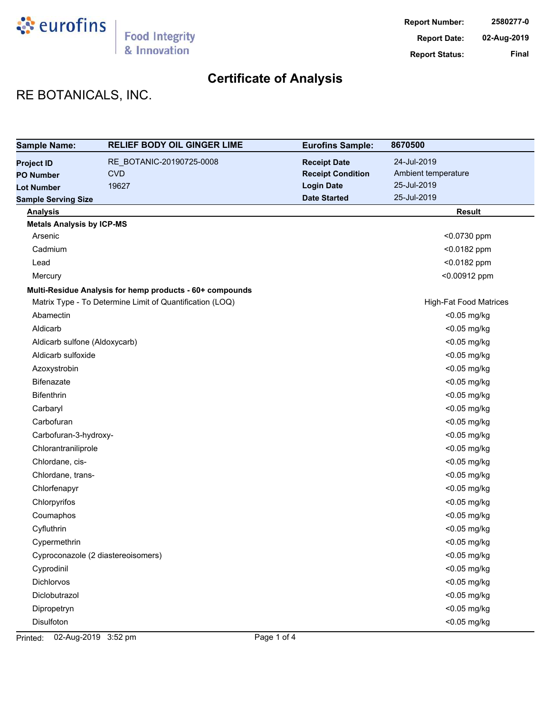

# RE BOTANICALS, INC.

| <b>Sample Name:</b>              | <b>RELIEF BODY OIL GINGER LIME</b>                       | <b>Eurofins Sample:</b>  | 8670500                       |
|----------------------------------|----------------------------------------------------------|--------------------------|-------------------------------|
| <b>Project ID</b>                | RE_BOTANIC-20190725-0008                                 | <b>Receipt Date</b>      | 24-Jul-2019                   |
| <b>PO Number</b>                 | <b>CVD</b>                                               | <b>Receipt Condition</b> | Ambient temperature           |
| <b>Lot Number</b>                | 19627                                                    | <b>Login Date</b>        | 25-Jul-2019                   |
| <b>Sample Serving Size</b>       |                                                          | <b>Date Started</b>      | 25-Jul-2019                   |
| <b>Analysis</b>                  |                                                          |                          | <b>Result</b>                 |
| <b>Metals Analysis by ICP-MS</b> |                                                          |                          |                               |
| Arsenic                          |                                                          |                          | <0.0730 ppm                   |
| Cadmium                          |                                                          |                          | <0.0182 ppm                   |
| Lead                             |                                                          |                          | <0.0182 ppm                   |
| Mercury                          |                                                          |                          | <0.00912 ppm                  |
|                                  | Multi-Residue Analysis for hemp products - 60+ compounds |                          |                               |
|                                  | Matrix Type - To Determine Limit of Quantification (LOQ) |                          | <b>High-Fat Food Matrices</b> |
| Abamectin                        |                                                          |                          | <0.05 mg/kg                   |
| Aldicarb                         |                                                          |                          | <0.05 mg/kg                   |
| Aldicarb sulfone (Aldoxycarb)    |                                                          |                          | <0.05 mg/kg                   |
| Aldicarb sulfoxide               |                                                          |                          | <0.05 mg/kg                   |
| Azoxystrobin                     |                                                          |                          | <0.05 mg/kg                   |
| <b>Bifenazate</b>                |                                                          |                          | <0.05 mg/kg                   |
| <b>Bifenthrin</b>                |                                                          |                          | <0.05 mg/kg                   |
| Carbaryl                         |                                                          |                          | <0.05 mg/kg                   |
| Carbofuran                       |                                                          |                          | <0.05 mg/kg                   |
| Carbofuran-3-hydroxy-            |                                                          |                          | <0.05 mg/kg                   |
| Chlorantraniliprole              |                                                          |                          | <0.05 mg/kg                   |
| Chlordane, cis-                  |                                                          |                          | <0.05 mg/kg                   |
| Chlordane, trans-                |                                                          |                          | <0.05 mg/kg                   |
| Chlorfenapyr                     |                                                          |                          | <0.05 mg/kg                   |
| Chlorpyrifos                     |                                                          |                          | <0.05 mg/kg                   |
| Coumaphos                        |                                                          |                          | <0.05 mg/kg                   |
| Cyfluthrin                       |                                                          |                          | <0.05 mg/kg                   |
| Cypermethrin                     |                                                          |                          | <0.05 mg/kg                   |
|                                  | Cyproconazole (2 diastereoisomers)                       |                          | <0.05 mg/kg                   |
| Cyprodinil                       |                                                          |                          | <0.05 mg/kg                   |
| Dichlorvos                       |                                                          |                          | <0.05 mg/kg                   |
| Diclobutrazol                    |                                                          |                          | <0.05 mg/kg                   |
| Dipropetryn                      |                                                          |                          | <0.05 mg/kg                   |
| Disulfoton                       |                                                          |                          | <0.05 mg/kg                   |

Printed: 02-Aug-2019 3:52 pm Page 1 of 4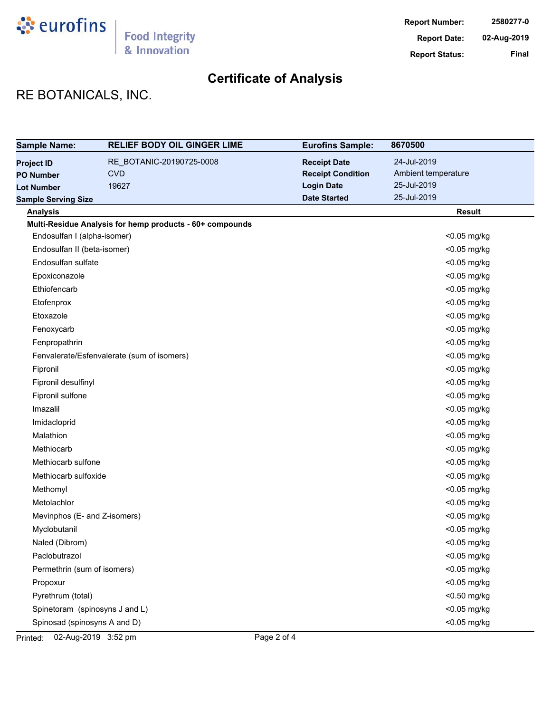

# RE BOTANICALS, INC.

| <b>Sample Name:</b>            | <b>RELIEF BODY OIL GINGER LIME</b>                       | <b>Eurofins Sample:</b>  | 8670500             |
|--------------------------------|----------------------------------------------------------|--------------------------|---------------------|
| <b>Project ID</b>              | RE BOTANIC-20190725-0008                                 | <b>Receipt Date</b>      | 24-Jul-2019         |
| <b>PO Number</b>               | <b>CVD</b>                                               | <b>Receipt Condition</b> | Ambient temperature |
| <b>Lot Number</b>              | 19627                                                    | <b>Login Date</b>        | 25-Jul-2019         |
| <b>Sample Serving Size</b>     |                                                          | <b>Date Started</b>      | 25-Jul-2019         |
| <b>Analysis</b>                |                                                          |                          | <b>Result</b>       |
|                                | Multi-Residue Analysis for hemp products - 60+ compounds |                          |                     |
| Endosulfan I (alpha-isomer)    |                                                          |                          | <0.05 mg/kg         |
| Endosulfan II (beta-isomer)    |                                                          |                          | <0.05 mg/kg         |
| Endosulfan sulfate             |                                                          |                          | <0.05 mg/kg         |
| Epoxiconazole                  |                                                          |                          | <0.05 mg/kg         |
| Ethiofencarb                   |                                                          |                          | <0.05 mg/kg         |
| Etofenprox                     |                                                          |                          | <0.05 mg/kg         |
| Etoxazole                      |                                                          |                          | <0.05 mg/kg         |
| Fenoxycarb                     |                                                          |                          | <0.05 mg/kg         |
| Fenpropathrin                  |                                                          |                          | <0.05 mg/kg         |
|                                | Fenvalerate/Esfenvalerate (sum of isomers)               |                          | <0.05 mg/kg         |
| Fipronil                       |                                                          |                          | <0.05 mg/kg         |
| Fipronil desulfinyl            |                                                          |                          | <0.05 mg/kg         |
| Fipronil sulfone               |                                                          |                          | <0.05 mg/kg         |
| Imazalil                       |                                                          |                          | <0.05 mg/kg         |
| Imidacloprid                   |                                                          |                          | <0.05 mg/kg         |
| Malathion                      |                                                          |                          | <0.05 mg/kg         |
| Methiocarb                     |                                                          |                          | <0.05 mg/kg         |
| Methiocarb sulfone             |                                                          |                          | <0.05 mg/kg         |
| Methiocarb sulfoxide           |                                                          |                          | <0.05 mg/kg         |
| Methomyl                       |                                                          |                          | <0.05 mg/kg         |
| Metolachlor                    |                                                          |                          | <0.05 mg/kg         |
| Mevinphos (E- and Z-isomers)   |                                                          |                          | <0.05 mg/kg         |
| Myclobutanil                   |                                                          |                          | <0.05 mg/kg         |
| Naled (Dibrom)                 |                                                          |                          | <0.05 mg/kg         |
| Paclobutrazol                  |                                                          |                          | <0.05 mg/kg         |
| Permethrin (sum of isomers)    |                                                          |                          | <0.05 mg/kg         |
| Propoxur                       |                                                          |                          | <0.05 mg/kg         |
| Pyrethrum (total)              |                                                          |                          | <0.50 mg/kg         |
| Spinetoram (spinosyns J and L) |                                                          |                          | $<$ 0.05 mg/kg      |
| Spinosad (spinosyns A and D)   |                                                          |                          | <0.05 mg/kg         |

Printed: 02-Aug-2019 3:52 pm Page 2 of 4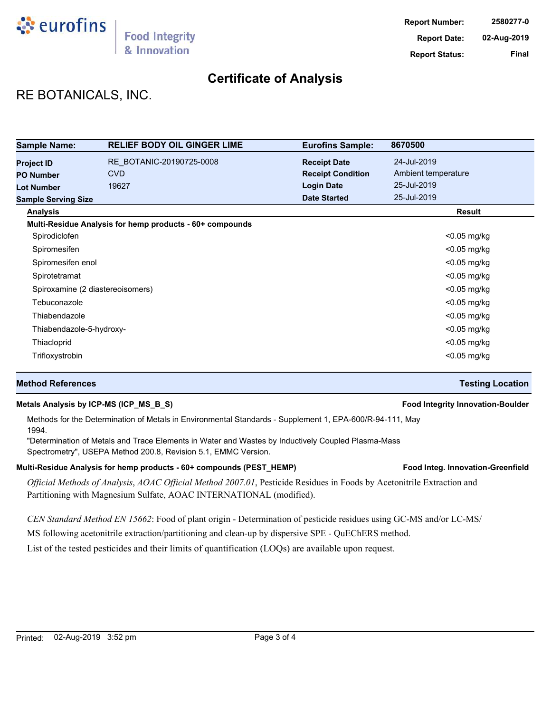

# RE BOTANICALS, INC.

| <b>Sample Name:</b>              | <b>RELIEF BODY OIL GINGER LIME</b>                       | <b>Eurofins Sample:</b>  | 8670500             |
|----------------------------------|----------------------------------------------------------|--------------------------|---------------------|
| <b>Project ID</b>                | RE BOTANIC-20190725-0008                                 | <b>Receipt Date</b>      | 24-Jul-2019         |
| <b>PO Number</b>                 | <b>CVD</b>                                               | <b>Receipt Condition</b> | Ambient temperature |
| <b>Lot Number</b>                | 19627                                                    | <b>Login Date</b>        | 25-Jul-2019         |
| <b>Sample Serving Size</b>       |                                                          | <b>Date Started</b>      | 25-Jul-2019         |
| <b>Analysis</b>                  |                                                          |                          | Result              |
|                                  | Multi-Residue Analysis for hemp products - 60+ compounds |                          |                     |
| Spirodiclofen                    |                                                          |                          | $<$ 0.05 mg/kg      |
| Spiromesifen                     |                                                          |                          | $<$ 0.05 mg/kg      |
| Spiromesifen enol                |                                                          |                          | $<$ 0.05 mg/kg      |
| Spirotetramat                    |                                                          |                          | $<$ 0.05 mg/kg      |
| Spiroxamine (2 diastereoisomers) |                                                          |                          | $<$ 0.05 mg/kg      |
| Tebuconazole                     |                                                          |                          | $<$ 0.05 mg/kg      |
| Thiabendazole                    |                                                          |                          | $<$ 0.05 mg/kg      |
| Thiabendazole-5-hydroxy-         |                                                          |                          | $<$ 0.05 mg/kg      |
| Thiacloprid                      |                                                          |                          | $<$ 0.05 mg/kg      |
| Trifloxystrobin                  |                                                          |                          | $<$ 0.05 mg/kg      |

#### **Method References Testing Location**

#### **Metals Analysis by ICP-MS (ICP\_MS\_B\_S) Food Integrity Innovation-Boulder**

Methods for the Determination of Metals in Environmental Standards - Supplement 1, EPA-600/R-94-111, May 1994.

"Determination of Metals and Trace Elements in Water and Wastes by Inductively Coupled Plasma-Mass Spectrometry", USEPA Method 200.8, Revision 5.1, EMMC Version.

#### Multi-Residue Analysis for hemp products - 60+ compounds (PEST\_HEMP) **Food Integ. Innovation-Greenfield**

*Official Methods of Analysis*, *AOAC Official Method 2007.01*, Pesticide Residues in Foods by Acetonitrile Extraction and Partitioning with Magnesium Sulfate, AOAC INTERNATIONAL (modified).

*CEN Standard Method EN 15662*: Food of plant origin - Determination of pesticide residues using GC-MS and/or LC-MS/

MS following acetonitrile extraction/partitioning and clean-up by dispersive SPE - QuEChERS method.

List of the tested pesticides and their limits of quantification (LOQs) are available upon request.